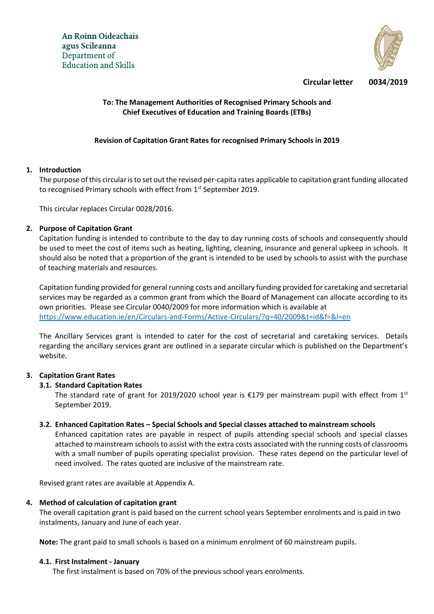

**Circular letter 0034**/**2019**

# **To: The Management Authorities of Recognised Primary Schools and Chief Executives of Education and Training Boards (ETBs)**

# **Revision of Capitation Grant Rates for recognised Primary Schools in 2019**

# **1. Introduction**

The purpose of this circular is to set out the revised per-capita rates applicable to capitation grant funding allocated to recognised Primary schools with effect from 1<sup>st</sup> September 2019.

This circular replaces Circular 0028/2016.

# **2. Purpose of Capitation Grant**

Capitation funding is intended to contribute to the day to day running costs of schools and consequently should be used to meet the cost of items such as heating, lighting, cleaning, insurance and general upkeep in schools. It should also be noted that a proportion of the grant is intended to be used by schools to assist with the purchase of teaching materials and resources.

Capitation funding provided for general running costs and ancillary funding provided for caretaking and secretarial services may be regarded as a common grant from which the Board of Management can allocate according to its own priorities. Please see Circular 0040/2009 for more information which is available at <https://www.education.ie/en/Circulars-and-Forms/Active-Circulars/?q=40/2009&t=id&f=&l=en>

The Ancillary Services grant is intended to cater for the cost of secretarial and caretaking services. Details regarding the ancillary services grant are outlined in a separate circular which is published on the Department's website.

# **3. Capitation Grant Rates**

# **3.1. Standard Capitation Rates**

The standard rate of grant for 2019/2020 school year is  $£179$  per mainstream pupil with effect from 1<sup>st</sup> September 2019.

# **3.2. Enhanced Capitation Rates – Special Schools and Special classes attached to mainstream schools**

Enhanced capitation rates are payable in respect of pupils attending special schools and special classes attached to mainstream schools to assist with the extra costs associated with the running costs of classrooms with a small number of pupils operating specialist provision. These rates depend on the particular level of need involved. The rates quoted are inclusive of the mainstream rate.

Revised grant rates are available at Appendix A.

#### **4. Method of calculation of capitation grant**

The overall capitation grant is paid based on the current school years September enrolments and is paid in two instalments, January and June of each year.

**Note:** The grant paid to small schools is based on a minimum enrolment of 60 mainstream pupils.

# **4.1. First Instalment - January**

The first instalment is based on 70% of the previous school years enrolments.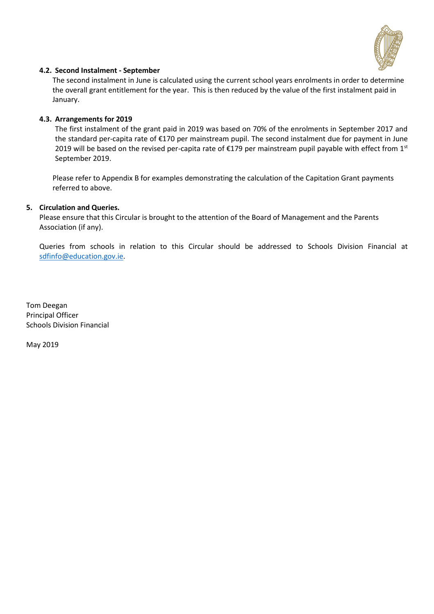

## **4.2. Second Instalment - September**

The second instalment in June is calculated using the current school years enrolments in order to determine the overall grant entitlement for the year. This is then reduced by the value of the first instalment paid in January.

### **4.3. Arrangements for 2019**

The first instalment of the grant paid in 2019 was based on 70% of the enrolments in September 2017 and the standard per-capita rate of €170 per mainstream pupil. The second instalment due for payment in June 2019 will be based on the revised per-capita rate of  $\epsilon$ 179 per mainstream pupil payable with effect from 1st September 2019.

Please refer to Appendix B for examples demonstrating the calculation of the Capitation Grant payments referred to above.

### **5. Circulation and Queries.**

Please ensure that this Circular is brought to the attention of the Board of Management and the Parents Association (if any).

Queries from schools in relation to this Circular should be addressed to Schools Division Financial at [sdfinfo@education.gov.ie.](mailto:sdfinfo@education.gov.ie)

Tom Deegan Principal Officer Schools Division Financial

May 2019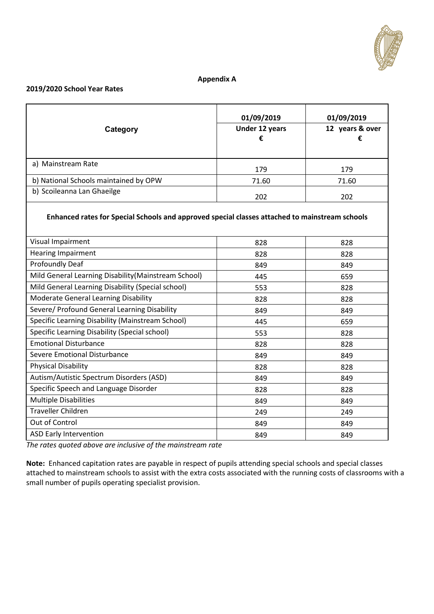

#### **Appendix A**

#### **2019/2020 School Year Rates**

| Category                                                                                       | 01/09/2019<br><b>Under 12 years</b><br>€ | 01/09/2019<br>12 years & over<br>€ |
|------------------------------------------------------------------------------------------------|------------------------------------------|------------------------------------|
| a) Mainstream Rate                                                                             | 179                                      | 179                                |
| b) National Schools maintained by OPW                                                          | 71.60                                    | 71.60                              |
| b) Scoileanna Lan Ghaeilge                                                                     | 202                                      | 202                                |
| Enhanced rates for Special Schools and approved special classes attached to mainstream schools |                                          |                                    |
| Visual Impairment                                                                              | 828                                      | 828                                |
| <b>Hearing Impairment</b>                                                                      | 828                                      | 828                                |
| <b>Profoundly Deaf</b>                                                                         | 849                                      | 849                                |
| Mild General Learning Disability (Mainstream School)                                           | 445                                      | 659                                |
| Mild General Learning Disability (Special school)                                              | 553                                      | 828                                |
| Moderate General Learning Disability                                                           | 828                                      | 828                                |
| Severe/ Profound General Learning Disability                                                   | 849                                      | 849                                |
| Specific Learning Disability (Mainstream School)                                               | 445                                      | 659                                |
| Specific Learning Disability (Special school)                                                  | 553                                      | 828                                |
| <b>Emotional Disturbance</b>                                                                   | 828                                      | 828                                |
| Severe Emotional Disturbance                                                                   | 849                                      | 849                                |
| <b>Physical Disability</b>                                                                     | 828                                      | 828                                |
| Autism/Autistic Spectrum Disorders (ASD)                                                       | 849                                      | 849                                |
| Specific Speech and Language Disorder                                                          | 828                                      | 828                                |
| <b>Multiple Disabilities</b>                                                                   | 849                                      | 849                                |
| <b>Traveller Children</b>                                                                      | 249                                      | 249                                |
| Out of Control                                                                                 | 849                                      | 849                                |
| <b>ASD Early Intervention</b>                                                                  | 849                                      | 849                                |

*The rates quoted above are inclusive of the mainstream rate*

**Note:** Enhanced capitation rates are payable in respect of pupils attending special schools and special classes attached to mainstream schools to assist with the extra costs associated with the running costs of classrooms with a small number of pupils operating specialist provision.